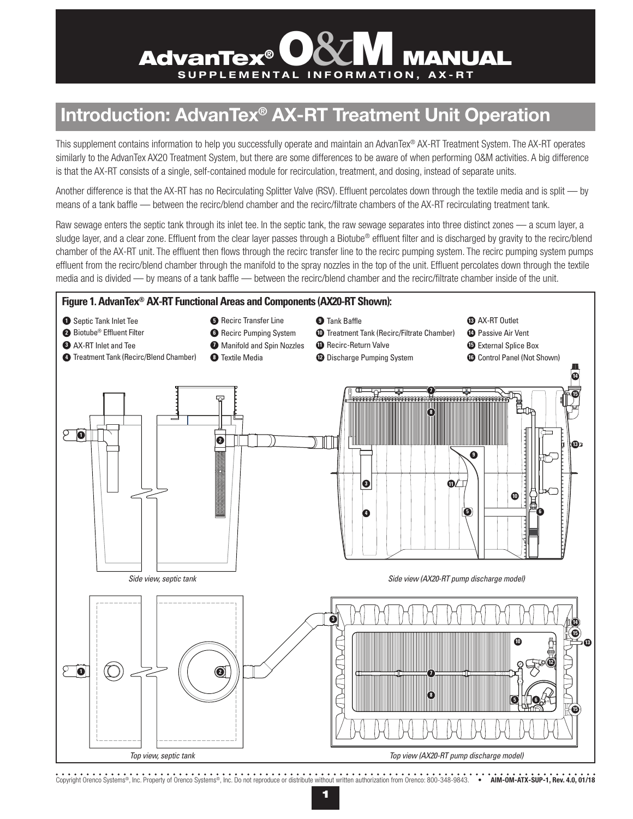# **AdvanTex<sup>®</sup> O&M MANUAL**

# **Introduction: AdvanTex® AX-RT Treatment Unit Operation**

This supplement contains information to help you successfully operate and maintain an AdvanTex® AX-RT Treatment System. The AX-RT operates similarly to the AdvanTex AX20 Treatment System, but there are some differences to be aware of when performing O&M activities. A big difference is that the AX-RT consists of a single, self-contained module for recirculation, treatment, and dosing, instead of separate units.

Another difference is that the AX-RT has no Recirculating Splitter Valve (RSV). Effluent percolates down through the textile media and is split — by means of a tank baffle — between the recirc/blend chamber and the recirc/filtrate chambers of the AX-RT recirculating treatment tank.

Raw sewage enters the septic tank through its inlet tee. In the septic tank, the raw sewage separates into three distinct zones — a scum layer, a sludge layer, and a clear zone. Effluent from the clear layer passes through a Biotube® effluent filter and is discharged by gravity to the recirc/blend chamber of the AX-RT unit. The effluent then flows through the recirc transfer line to the recirc pumping system. The recirc pumping system pumps effluent from the recirc/blend chamber through the manifold to the spray nozzles in the top of the unit. Effluent percolates down through the textile media and is divided — by means of a tank baffle — between the recirc/blend chamber and the recirc/filtrate chamber inside of the unit.



Copyright Orenco Systems®, Inc. Property of Orenco Systems®, Inc. Do not reproduce or distribute without written authorization from Orenco: 800-348-9843. • **AIM-OM-ATX-SUP-1, Rev. 4.0, 01/18**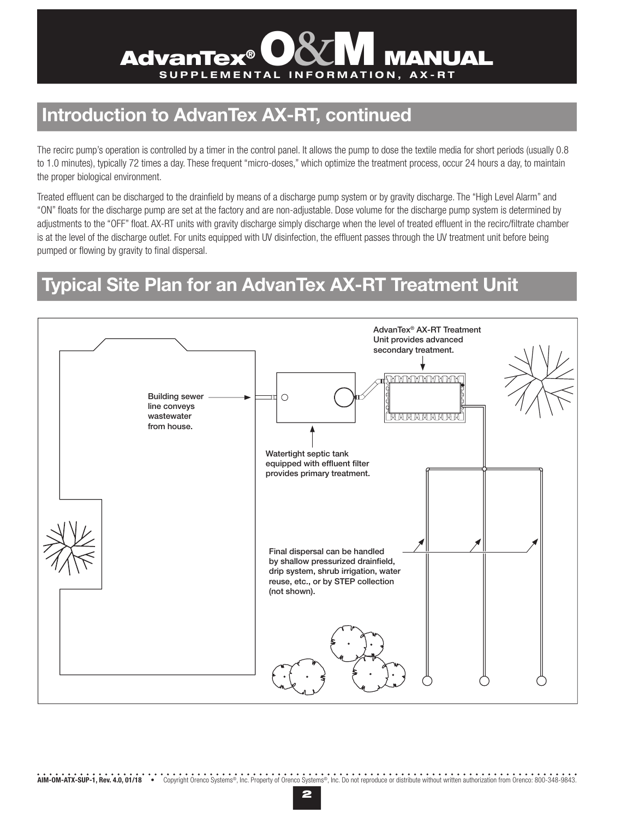# **AdvanTex®** SUPPLEMENTAL INFORMATION, AX-RT

## **Introduction to AdvanTex AX-RT, continued**

The recirc pump's operation is controlled by a timer in the control panel. It allows the pump to dose the textile media for short periods (usually 0.8 to 1.0 minutes), typically 72 times a day. These frequent "micro-doses," which optimize the treatment process, occur 24 hours a day, to maintain the proper biological environment.

Treated effluent can be discharged to the drainfield by means of a discharge pump system or by gravity discharge. The "High Level Alarm" and "ON" floats for the discharge pump are set at the factory and are non-adjustable. Dose volume for the discharge pump system is determined by adjustments to the "OFF" float. AX-RT units with gravity discharge simply discharge when the level of treated effluent in the recirc/filtrate chamber is at the level of the discharge outlet. For units equipped with UV disinfection, the effluent passes through the UV treatment unit before being pumped or flowing by gravity to final dispersal.

## **Typical Site Plan for an AdvanTex AX-RT Treatment Unit**

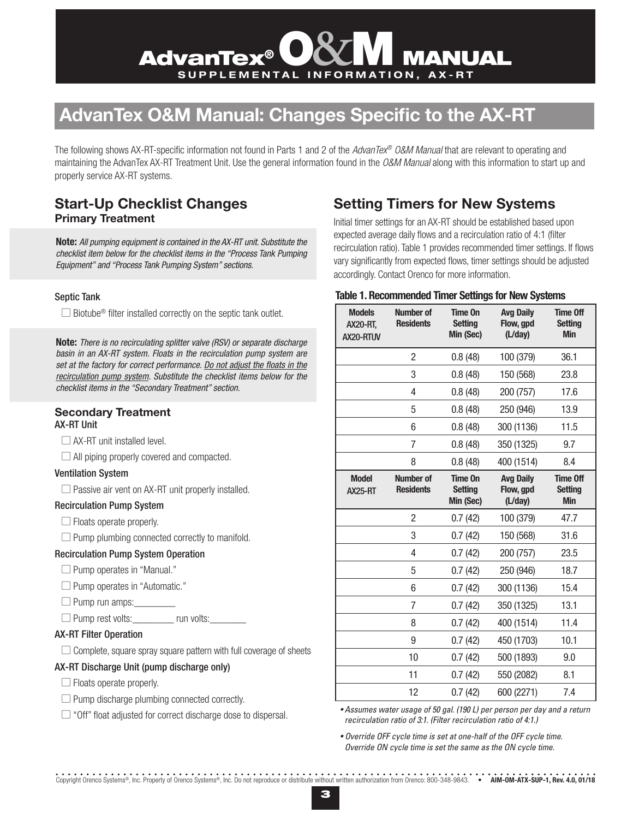# **AdvanTex<sup>®</sup> O&M MANUAL**

# **AdvanTex O&M Manual: Changes Specific to the AX-RT**

The following shows AX-RT-specific information not found in Parts 1 and 2 of the *AdvanTex® O&M Manual* that are relevant to operating and maintaining the AdvanTex AX-RT Treatment Unit. Use the general information found in the *O&M Manual* along with this information to start up and properly service AX-RT systems.

### **Start-Up Checklist Changes Primary Treatment**

**Note:** *All pumping equipment is contained in the AX-RT unit. Substitute the checklist item below for the checklist items in the "Process Tank Pumping Equipment" and "Process Tank Pumping System" sections.*

#### Septic Tank

 $\Box$  Biotube<sup>®</sup> filter installed correctly on the septic tank outlet.

**Note:** *There is no recirculating splitter valve (RSV) or separate discharge basin in an AX-RT system. Floats in the recirculation pump system are set at the factory for correct performance. Do not adjust the floats in the recirculation pump system. Substitute the checklist items below for the checklist items in the "Secondary Treatment" section.* 

#### **Secondary Treatment**  AX-RT Unit

 $\Box$  AX-RT unit installed level.

 $\Box$  All piping properly covered and compacted.

#### Ventilation System

 $\Box$  Passive air vent on AX-RT unit properly installed.

#### Recirculation Pump System

 $\Box$  Floats operate properly.

 $\Box$  Pump plumbing connected correctly to manifold.

#### Recirculation Pump System Operation

 $\Box$  Pump operates in "Manual."

 $\Box$  Pump operates in "Automatic."

 $\Box$  Pump run amps:

 $\Box$  Pump rest volts:  $\Box$  run volts:

#### AX-RT Filter Operation

 $\Box$  Complete, square spray square pattern with full coverage of sheets

#### AX-RT Discharge Unit (pump discharge only)

- $\Box$  Floats operate properly.
- $\Box$  Pump discharge plumbing connected correctly.

 $\Box$  "Off" float adjusted for correct discharge dose to dispersal.

### **Setting Timers for New Systems**

Initial timer settings for an AX-RT should be established based upon expected average daily flows and a recirculation ratio of 4:1 (filter recirculation ratio). Table 1 provides recommended timer settings. If flows vary significantly from expected flows, timer settings should be adjusted accordingly. Contact Orenco for more information.

#### **Table 1. Recommended Timer Settings for New Systems**

| <b>Models</b><br><b>AX20-RT,</b><br>AX20-RTUV | Number of<br><b>Residents</b>        | <b>Time On</b><br><b>Setting</b><br>Min (Sec) | <b>Avg Daily</b><br>Flow, gpd<br>(L/day) | <b>Time Off</b><br><b>Setting</b><br><b>Min</b> |
|-----------------------------------------------|--------------------------------------|-----------------------------------------------|------------------------------------------|-------------------------------------------------|
|                                               | $\overline{c}$                       | 0.8(48)                                       | 100 (379)                                | 36.1                                            |
|                                               | 3                                    | 0.8(48)                                       | 150 (568)                                | 23.8                                            |
|                                               | 4                                    | 0.8(48)                                       | 200 (757)                                | 17.6                                            |
|                                               | 5                                    | 0.8(48)                                       | 250 (946)                                | 13.9                                            |
|                                               | 6                                    | 0.8(48)                                       | 300 (1136)                               | 11.5                                            |
|                                               | $\overline{7}$                       | 0.8(48)                                       | 350 (1325)                               | 9.7                                             |
|                                               | 8                                    | 0.8(48)                                       | 400 (1514)                               | 8.4                                             |
| <b>Model</b><br><b>AX25-RT</b>                | <b>Number of</b><br><b>Residents</b> | <b>Time On</b><br><b>Setting</b><br>Min (Sec) | <b>Avg Daily</b><br>Flow, gpd<br>(L/day) | <b>Time Off</b><br><b>Setting</b><br><b>Min</b> |
|                                               | $\overline{2}$                       | 0.7(42)                                       | 100 (379)                                | 47.7                                            |
|                                               | 3                                    | 0.7(42)                                       | 150 (568)                                | 31.6                                            |
|                                               | 4                                    | 0.7(42)                                       | 200 (757)                                | 23.5                                            |
|                                               | 5                                    | 0.7(42)                                       | 250 (946)                                | 18.7                                            |
|                                               | 6                                    | 0.7(42)                                       | 300 (1136)                               | 15.4                                            |
|                                               | 7                                    | 0.7(42)                                       | 350 (1325)                               | 13.1                                            |
|                                               | 8                                    | 0.7(42)                                       | 400 (1514)                               | 11.4                                            |
|                                               | 9                                    | 0.7(42)                                       | 450 (1703)                               | 10.1                                            |
|                                               | 10                                   | 0.7(42)                                       | 500 (1893)                               | 9.0                                             |
|                                               | 11                                   | 0.7(42)                                       | 550 (2082)                               | 8.1                                             |
|                                               | 12                                   | 0.7(42)                                       | 600 (2271)                               | 7.4                                             |

*• Assumes water usage of 50 gal. (190 L) per person per day and a return recirculation ratio of 3:1. (Filter recirculation ratio of 4:1.)*

*• Override OFF cycle time is set at one-half of the OFF cycle time. Override ON cycle time is set the same as the ON cycle time.*